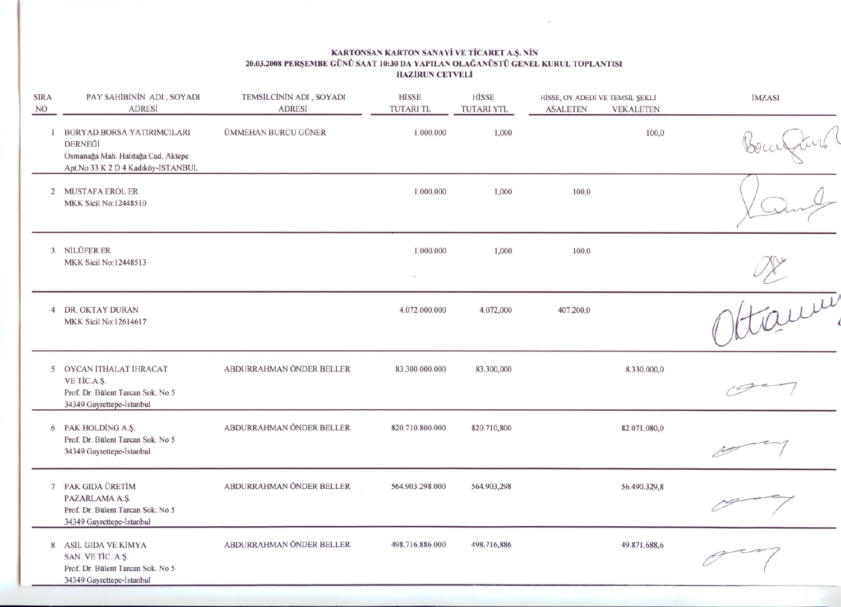## KARTONSAN KARTON SANA Yi VE TicARET A.S. NIN 20.03.2008 PERSEMBE GÜNÜ SAAT 10:30 DA YAPILAN OLAGANÜSTÜ GENEL KURUL TOPLANTISI HAZiRUN CETVELI

| HİSSE, OY ADEDİ VE TEMSİL ŞEKLİ<br><b>ASALETEN</b> | HİSSE<br><b>TUTARI YTL</b> | HİSSE<br><b>TUTARI TL</b> | TEMSİLCİNİN ADI, SOYADI<br><b>ADRESİ</b> | PAY SAHİBİNİN ADI, SOYADI<br><b>ADRESİ</b>                                                                          | <b>SIRA</b><br>NO |
|----------------------------------------------------|----------------------------|---------------------------|------------------------------------------|---------------------------------------------------------------------------------------------------------------------|-------------------|
|                                                    | 1,000                      | 1.000.000                 | ÜMMEHAN BURCU GÜNER                      | 1 BORYAD BORSA YATIRIMCILARI<br>DERNEĞİ<br>Osmanağa Mah. Halitağa Cad. Aktepe<br>Apt.No 33 K 2 D 4 Kadıköy-İSTANBUL |                   |
|                                                    | 1,000                      | 1.000.000                 |                                          | 2 MUSTAFA EROL ER<br>MKK Sicil No:12448510                                                                          |                   |
|                                                    | 1,000                      | 1.000.000                 |                                          | 3 NİLÜFER ER<br>MKK Sicil No:12448513                                                                               |                   |
|                                                    | 4.072,000                  | 4.072.000.000             |                                          | 4 DR. OKTAY DURAN<br>MKK Sicil No:12614617                                                                          |                   |
|                                                    | 83.300,000                 | 83.300.000.000            | ABDURRAHMAN ÖNDER BELLER                 | 5 OYCAN İTHALAT İHRACAT<br>VE TİC.A.Ş.<br>Prof. Dr. Bülent Tarcan Sok. No 5<br>34349 Gayrettepe-İstanbul            |                   |
|                                                    | 820.710,800                | 820.710.800.000           | ABDURRAHMAN ÖNDER BELLER                 | 6 PAK HOLDING A.S.<br>Prof. Dr. Bülent Tarcan Sok. No 5<br>34349 Gayrettepe-İstanbul                                |                   |
|                                                    | 564.903,298                | 564.903.298.000           | ABDURRAHMAN ÖNDER BELLER                 | 7 PAK GIDA ÜRETİM<br>PAZARLAMA A.Ş.<br>Prof. Dr. Bülent Tarcan Sok. No 5<br>34349 Gayrettepe-İstanbul               |                   |
|                                                    | 498.716,886                | 498.716.886.000           | ABDURRAHMAN ÖNDER BELLER                 | 8 ASİL GIDA VE KİMYA<br>SAN. VE TİC. A.Ş.<br>Prof. Dr. Bülent Tarcan Sok. No 5<br>34349 Gavrettene-İstanbul         |                   |